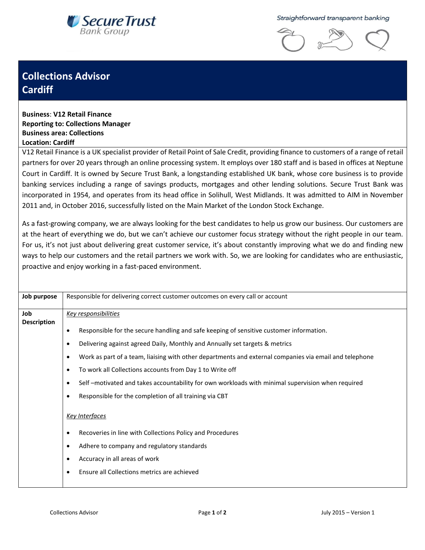

Straightforward transparent banking



## **Collections Advisor Cardiff**

**Business**: **V12 Retail Finance Reporting to: Collections Manager Business area: Collections Location: Cardiff**

V12 Retail Finance is a UK specialist provider of Retail Point of Sale Credit, providing finance to customers of a range of retail partners for over 20 years through an online processing system. It employs over 180 staff and is based in offices at Neptune Court in Cardiff. It is owned by Secure Trust Bank, a longstanding established UK bank, whose core business is to provide banking services including a range of savings products, mortgages and other lending solutions. Secure Trust Bank was incorporated in 1954, and operates from its head office in Solihull, West Midlands. It was admitted to AIM in November 2011 and, in October 2016, successfully listed on the Main Market of the London Stock Exchange.

As a fast-growing company, we are always looking for the best candidates to help us grow our business. Our customers are at the heart of everything we do, but we can't achieve our customer focus strategy without the right people in our team. For us, it's not just about delivering great customer service, it's about constantly improving what we do and finding new ways to help our customers and the retail partners we work with. So, we are looking for candidates who are enthusiastic, proactive and enjoy working in a fast-paced environment.

| Job<br>Key responsibilities<br><b>Description</b><br>Responsible for the secure handling and safe keeping of sensitive customer information.<br>$\bullet$<br>Delivering against agreed Daily, Monthly and Annually set targets & metrics<br>$\bullet$<br>Work as part of a team, liaising with other departments and external companies via email and telephone<br>$\bullet$<br>٠                                                    | Job purpose | Responsible for delivering correct customer outcomes on every call or account |
|--------------------------------------------------------------------------------------------------------------------------------------------------------------------------------------------------------------------------------------------------------------------------------------------------------------------------------------------------------------------------------------------------------------------------------------|-------------|-------------------------------------------------------------------------------|
| Self-motivated and takes accountability for own workloads with minimal supervision when required<br>٠<br>Responsible for the completion of all training via CBT<br>$\bullet$<br><u>Key Interfaces</u><br>Recoveries in line with Collections Policy and Procedures<br>$\bullet$<br>Adhere to company and regulatory standards<br>٠<br>Accuracy in all areas of work<br>٠<br>Ensure all Collections metrics are achieved<br>$\bullet$ |             | To work all Collections accounts from Day 1 to Write off                      |